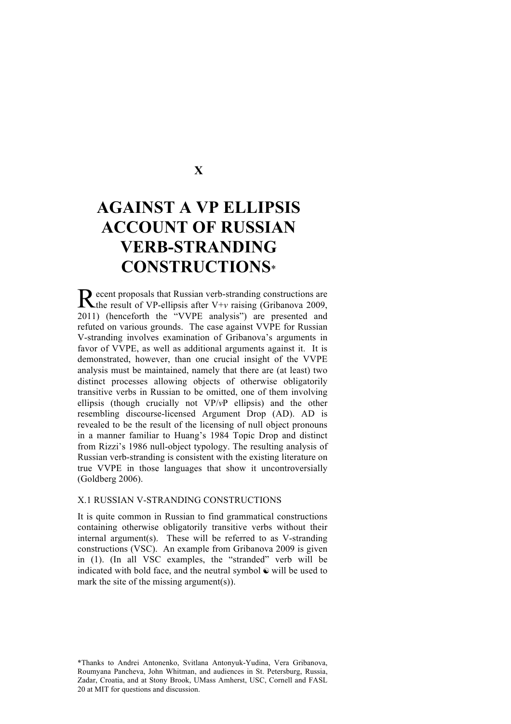# **X**

# **AGAINST A VP ELLIPSIS ACCOUNT OF RUSSIAN VERB-STRANDING CONSTRUCTIONS**\*

ecent proposals that Russian verb-stranding constructions are Recent proposals that Russian verb-stranding constructions are the result of VP-ellipsis after V+*v* raising (Gribanova 2009, 2011) (henceforth the "VVPE analysis") are presented and refuted on various grounds. The case against VVPE for Russian V-stranding involves examination of Gribanova's arguments in favor of VVPE, as well as additional arguments against it. It is demonstrated, however, than one crucial insight of the VVPE analysis must be maintained, namely that there are (at least) two distinct processes allowing objects of otherwise obligatorily transitive verbs in Russian to be omitted, one of them involving ellipsis (though crucially not VP/*v*P ellipsis) and the other resembling discourse-licensed Argument Drop (AD). AD is revealed to be the result of the licensing of null object pronouns in a manner familiar to Huang's 1984 Topic Drop and distinct from Rizzi's 1986 null-object typology. The resulting analysis of Russian verb-stranding is consistent with the existing literature on true VVPE in those languages that show it uncontroversially (Goldberg 2006).

#### X.1 RUSSIAN V-STRANDING CONSTRUCTIONS

It is quite common in Russian to find grammatical constructions containing otherwise obligatorily transitive verbs without their internal argument(s). These will be referred to as V-stranding constructions (VSC). An example from Gribanova 2009 is given in (1). (In all VSC examples, the "stranded" verb will be indicated with bold face, and the neutral symbol  $\odot$  will be used to mark the site of the missing argument(s)).

\*Thanks to Andrei Antonenko, Svitlana Antonyuk-Yudina, Vera Gribanova, Roumyana Pancheva, John Whitman, and audiences in St. Petersburg, Russia, Zadar, Croatia, and at Stony Brook, UMass Amherst, USC, Cornell and FASL 20 at MIT for questions and discussion.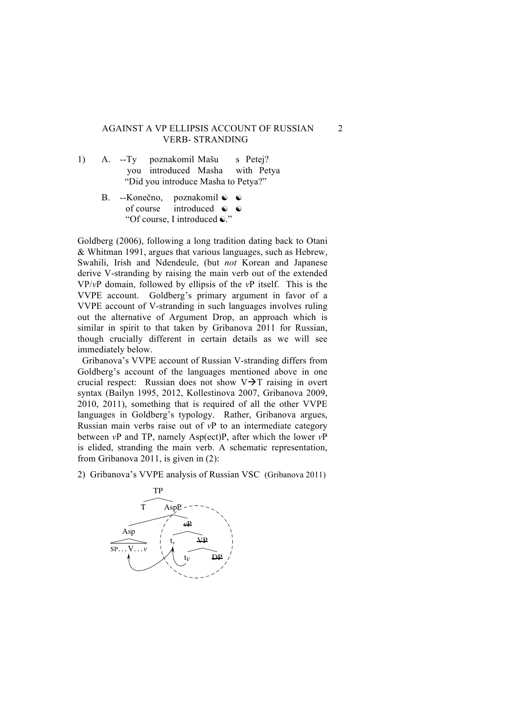#### AGAINST A VP ELLIPSIS ACCOUNT OF RUSSIAN 2 VERB- STRANDING verb between as verb movement to T, followed by VP ellipsis (McCloskey, 1991; Goldberg, 1991; Goldberg, 1991; Goldberg, 1991; Goldberg, 1991; Goldberg, 1991; Goldberg, 1991; Goldberg, 1991; Goldberg, 1991; Goldberg, 1991;

- 1) A. --Ty poznakomil Mašu s Petej? you introduced Masha with Petya "Did you introduce Masha to Petya?" 1)  $A. -Tv$
- B. --Konečno, poznakomil **⊙ ©** of course introduced  $\odot$   $\odot$ "Of course, I introduced  $\ddot{\bullet}$ ."  $\overline{p}$  $\frac{1}{2}$ poznakomil  $\lim_{\epsilon \to 0}$ zhakohin<br>A s  $\ddot{\phantom{a}}$ Petej? Peter.INSTR

Goldberg (2006), following a long tradition dating back to Otani  $\&$  Whitman 1991, argues that various languages, such as Hebrew, Swahili, Irish and Ndendeule, (but *not* Korean and Japanese derive V-stranding by raising the main verb out of the extended  $VP/\nu P$  domain, followed by ellipsis of the  $\nu P$  itself. This is the VVPE account. Goldberg's primary argument in favor of a VVPE account of V-stranding in such languages involves ruling out the alternative of Argument Drop, an approach which is similar in spirit to that taken by Gribanova 2011 for Russian, though crucially different in certain details as we will see immediately below.

Gribanova's VVPE account of Russian V-stranding differs from Goldberg's account of the languages mentioned above in one crucial respect: Russian does not show  $V\rightarrow T$  raising in overt syntax (Bailyn 1995, 2012, Kollestinova 2007, Gribanova 2009, 2010, 2011), something that is required of all the other VVPE zoro, zorr), something that is required or an the other v vi E<br>languages in Goldberg's typology. Rather, Gribanova argues, Russian main verbs raise out of  $vP$  to an intermediate category between *v*P and TP, namely Asp(ect)P, after which the lower *v*P is elided, stranding the main verb. A schematic representation,  $\frac{1}{2}$  from Gribanova 2011, is given in (2): to the correlation  $\alpha$  2011, to given in  $\left(2\right)$ .

2) Gribanova's VVPE analysis of Russian VSC (Gribanova 2011)

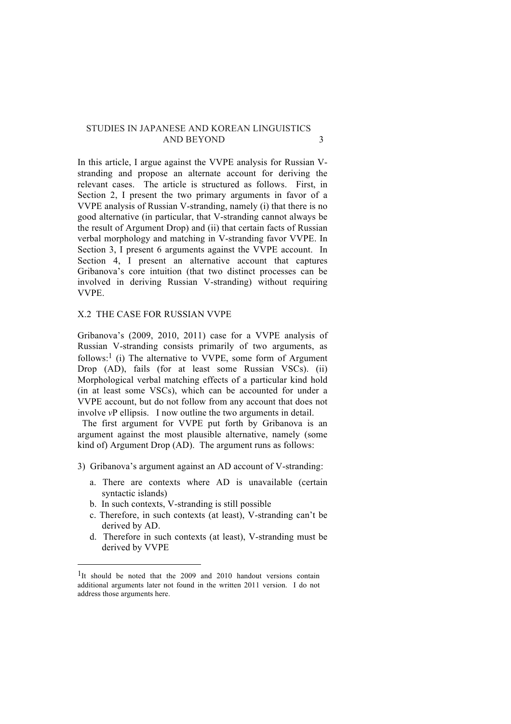In this article, I argue against the VVPE analysis for Russian Vstranding and propose an alternate account for deriving the relevant cases. The article is structured as follows. First, in Section 2, I present the two primary arguments in favor of a VVPE analysis of Russian V-stranding, namely (i) that there is no good alternative (in particular, that V-stranding cannot always be the result of Argument Drop) and (ii) that certain facts of Russian verbal morphology and matching in V-stranding favor VVPE. In Section 3, I present 6 arguments against the VVPE account. In Section 4, I present an alternative account that captures Gribanova's core intuition (that two distinct processes can be involved in deriving Russian V-stranding) without requiring VVPE.

#### X.2 THE CASE FOR RUSSIAN VVPE

Gribanova's (2009, 2010, 2011) case for a VVPE analysis of Russian V-stranding consists primarily of two arguments, as follows:<sup>1</sup> (i) The alternative to VVPE, some form of Argument Drop (AD), fails (for at least some Russian VSCs). (ii) Morphological verbal matching effects of a particular kind hold (in at least some VSCs), which can be accounted for under a VVPE account, but do not follow from any account that does not involve *v*P ellipsis. I now outline the two arguments in detail.

 The first argument for VVPE put forth by Gribanova is an argument against the most plausible alternative, namely (some kind of) Argument Drop (AD). The argument runs as follows:

- 3) Gribanova's argument against an AD account of V-stranding:
	- a. There are contexts where AD is unavailable (certain syntactic islands)
	- b. In such contexts, V-stranding is still possible

 

- c. Therefore, in such contexts (at least), V-stranding can't be derived by AD.
- d. Therefore in such contexts (at least), V-stranding must be derived by VVPE

<sup>&</sup>lt;sup>1</sup>It should be noted that the 2009 and 2010 handout versions contain additional arguments later not found in the written 2011 version. I do not address those arguments here.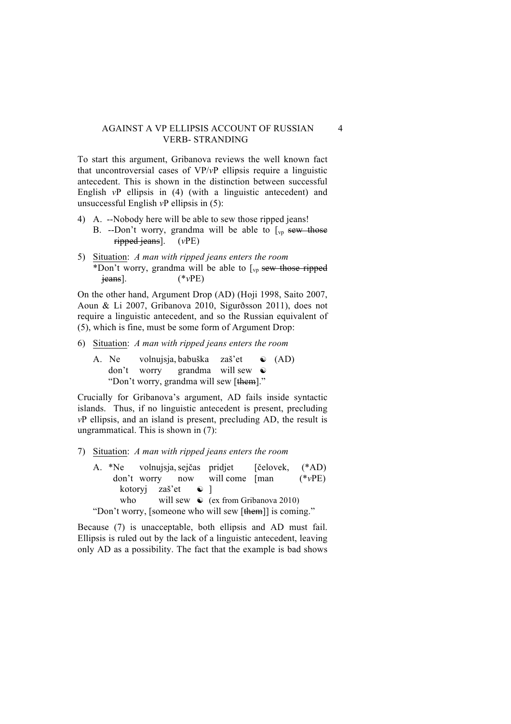### AGAINST A VP ELLIPSIS ACCOUNT OF RUSSIAN 4 VERB- STRANDING

To start this argument, Gribanova reviews the well known fact that uncontroversial cases of VP/*v*P ellipsis require a linguistic antecedent. This is shown in the distinction between successful English *v*P ellipsis in (4) (with a linguistic antecedent) and unsuccessful English *v*P ellipsis in (5):

- 4) A. --Nobody here will be able to sew those ripped jeans!
	- B. --Don't worry, grandma will be able to  $\left[\begin{smallmatrix} v_p & sew & \text{those} \end{smallmatrix}\right]$ ripped jeans]. (*v*PE)
- 5) Situation: *A man with ripped jeans enters the room*  \*Don't worry, grandma will be able to  $\int_{\mathcal{V}_{D}}$  sew those ripped jeans]. (\**v*PE)

On the other hand, Argument Drop (AD) (Hoji 1998, Saito 2007, Aoun & Li 2007, Gribanova 2010, Sigurðsson 2011), does not require a linguistic antecedent, and so the Russian equivalent of (5), which is fine, must be some form of Argument Drop:

- 6) Situation: *A man with ripped jeans enters the room* 
	- A. Ne volnujsja, babuška zaš'et ☯ (AD) don't worry grandma will sew ☯ "Don't worry, grandma will sew [them]."

Crucially for Gribanova's argument, AD fails inside syntactic islands. Thus, if no linguistic antecedent is present, precluding *v*P ellipsis, and an island is present, precluding AD, the result is ungrammatical. This is shown in (7):

- 7) Situation: *A man with ripped jeans enters the room* 
	- A. \*Ne volnujsja,sejčas pridjet [čelovek, (\*AD) don't worry now will come [man (\**v*PE) kotoryj zaš'et  $\odot$  ] who will sew  $\odot$  (ex from Gribanova 2010) "Don't worry, [someone who will sew [them]] is coming."

Because (7) is unacceptable, both ellipsis and AD must fail. Ellipsis is ruled out by the lack of a linguistic antecedent, leaving only AD as a possibility. The fact that the example is bad shows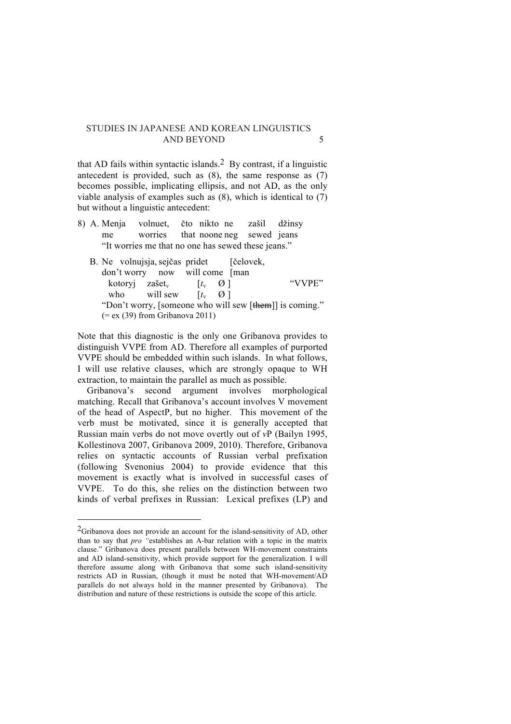that AD fails within syntactic islands.<sup>2</sup> By contrast, if a linguistic antecedent is provided, such as (8), the same response as (7) becomes possible, implicating ellipsis, and not AD, as the only viable analysis of examples such as (8), which is identical to (7) but without a linguistic antecedent:

- 8) A. Menja volnuet, čto nikto ne zašil džinsy me worries that noone neg sewed jeans "It worries me that no one has sewed these jeans."
	- B. Ne volnujsja, sejčas pridet [čelovek, don't worry now will come [man kotoryj zašet<sub>v</sub>  $[t_v \ 0]$  "VVPE" who will sew  $[t_v \ \Theta]$ "Don't worry, [someone who will sew [them]] is coming."  $(= eX (39)$  from Gribanova 2011)

Note that this diagnostic is the only one Gribanova provides to distinguish VVPE from AD. Therefore all examples of purported VVPE should be embedded within such islands. In what follows, I will use relative clauses, which are strongly opaque to WH extraction, to maintain the parallel as much as possible.

 Gribanova's second argument involves morphological matching. Recall that Gribanova's account involves V movement of the head of AspectP, but no higher. This movement of the verb must be motivated, since it is generally accepted that Russian main verbs do not move overtly out of *v*P (Bailyn 1995, Kollestinova 2007, Gribanova 2009, 2010). Therefore, Gribanova relies on syntactic accounts of Russian verbal prefixation (following Svenonius 2004) to provide evidence that this movement is exactly what is involved in successful cases of VVPE. To do this, she relies on the distinction between two kinds of verbal prefixes in Russian: Lexical prefixes (LP) and

 

 $^{2}$ Gribanova does not provide an account for the island-sensitivity of AD, other than to say that *pro "*establishes an A-bar relation with a topic in the matrix clause." Gribanova does present parallels between WH-movement constraints and AD island-sensitivity, which provide support for the generalization. I will therefore assume along with Gribanova that some such island-sensitivity restricts AD in Russian, (though it must be noted that WH-movement/AD parallels do not always hold in the manner presented by Gribanova). The distribution and nature of these restrictions is outside the scope of this article.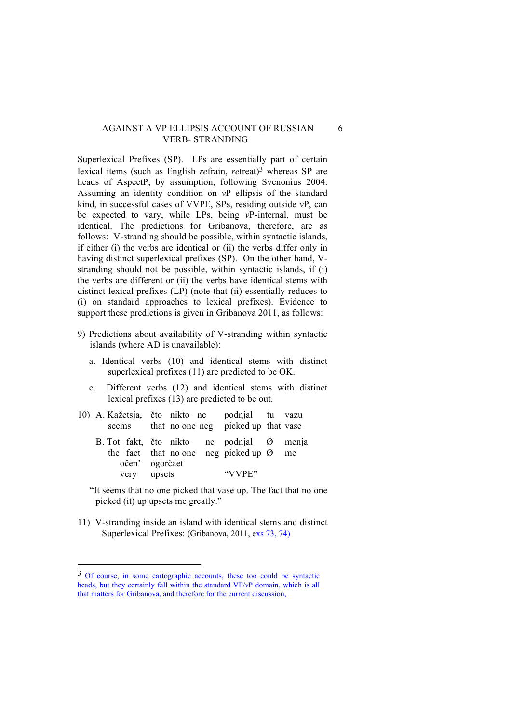#### AGAINST A VP ELLIPSIS ACCOUNT OF RUSSIAN 6 VERB- STRANDING

Superlexical Prefixes (SP). LPs are essentially part of certain lexical items (such as English *refrain, retreat*)<sup>3</sup> whereas SP are heads of AspectP, by assumption, following Svenonius 2004. Assuming an identity condition on *v*P ellipsis of the standard kind, in successful cases of VVPE, SPs, residing outside *v*P, can be expected to vary, while LPs, being *v*P-internal, must be identical. The predictions for Gribanova, therefore, are as follows: V-stranding should be possible, within syntactic islands, if either (i) the verbs are identical or (ii) the verbs differ only in having distinct superlexical prefixes (SP). On the other hand, Vstranding should not be possible, within syntactic islands, if (i) the verbs are different or (ii) the verbs have identical stems with distinct lexical prefixes (LP) (note that (ii) essentially reduces to (i) on standard approaches to lexical prefixes). Evidence to support these predictions is given in Gribanova 2011, as follows:

- 9) Predictions about availability of V-stranding within syntactic islands (where AD is unavailable):
	- a. Identical verbs (10) and identical stems with distinct superlexical prefixes (11) are predicted to be OK.
	- c. Different verbs (12) and identical stems with distinct lexical prefixes (13) are predicted to be out.
- 10) A. Kažetsja, čto nikto ne podnjal tu vazu seems that no one neg picked up that vase
	- B. Tot fakt, čto nikto ne podnjal Ø menja the fact that no one neg picked up  $\varnothing$  me očen' ogorčaet very upsets "VVPE"

"It seems that no one picked that vase up. The fact that no one picked (it) up upsets me greatly."

11) V-stranding inside an island with identical stems and distinct Superlexical Prefixes: (Gribanova, 2011, exs 73, 74)

 

<sup>3</sup> Of course, in some cartographic accounts, these too could be syntactic heads, but they certainly fall within the standard VP/*v*P domain, which is all that matters for Gribanova, and therefore for the current discussion,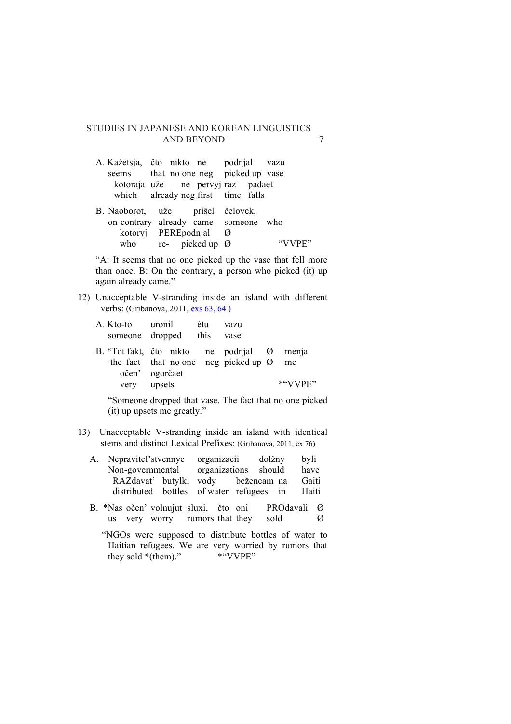- A. Kažetsja, čto nikto ne podnjal vazu seems that no one neg picked up vase kotoraja uže ne pervyj raz padaet which already neg first time falls
- B. Naoborot, uže prišel čelovek, on-contrary already came someone who kotoryj PEREpodnjal Ø who re- picked up  $\emptyset$  "VVPE"

"A: It seems that no one picked up the vase that fell more than once. B: On the contrary, a person who picked (it) up again already came."

12) Unacceptable V-stranding inside an island with different verbs: (Gribanova, 2011, exs 63, 64 )

| A. Kto-to uronil<br>someone dropped this                     |        | ètu | vazu<br>vase                                        |            |
|--------------------------------------------------------------|--------|-----|-----------------------------------------------------|------------|
| B. *Tot fakt, čto nikto ne podnjal Ø menja<br>očen' ogorčaet |        |     | the fact that no one neg picked up $\varnothing$ me |            |
| very                                                         | upsets |     |                                                     | $*``VVPF"$ |

"Someone dropped that vase. The fact that no one picked (it) up upsets me greatly."

- 13) Unacceptable V-stranding inside an island with identical stems and distinct Lexical Prefixes: (Gribanova, 2011, ex 76)
	- A. Nepravitel'stvennye organizacii dolžny byli Non-governmental organizations should have RAZdavat' butylki vody bežencam na Gaiti distributed bottles of water refugees in Haiti
	- B. \*Nas očen' volnujut sluxi, čto oni PROdavali Ø us very worry rumors that they sold  $\oslash$

"NGOs were supposed to distribute bottles of water to Haitian refugees. We are very worried by rumors that they sold \*(them)." \* \* \* \* VVPE"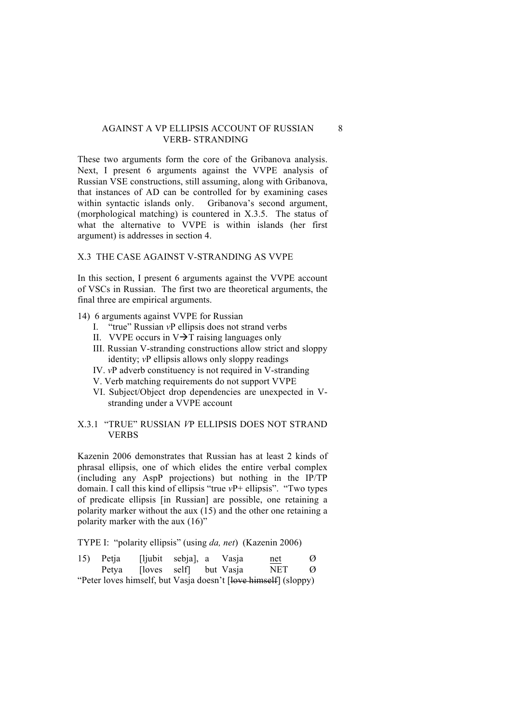#### AGAINST A VP ELLIPSIS ACCOUNT OF RUSSIAN 8 VERB- STRANDING

These two arguments form the core of the Gribanova analysis. Next, I present 6 arguments against the VVPE analysis of Russian VSE constructions, still assuming, along with Gribanova, that instances of AD can be controlled for by examining cases within syntactic islands only. Gribanova's second argument, (morphological matching) is countered in X.3.5. The status of what the alternative to VVPE is within islands (her first argument) is addresses in section 4.

### X.3 THE CASE AGAINST V-STRANDING AS VVPE

In this section, I present 6 arguments against the VVPE account of VSCs in Russian. The first two are theoretical arguments, the final three are empirical arguments.

- 14) 6 arguments against VVPE for Russian
	- I. "true" Russian *v*P ellipsis does not strand verbs
	- II. VVPE occurs in  $V\rightarrow T$  raising languages only
	- III. Russian V-stranding constructions allow strict and sloppy identity; *v*P ellipsis allows only sloppy readings
	- IV. *v*P adverb constituency is not required in V-stranding
	- V. Verb matching requirements do not support VVPE
	- VI. Subject/Object drop dependencies are unexpected in Vstranding under a VVPE account

# X.3.1 "TRUE" RUSSIAN *V*P ELLIPSIS DOES NOT STRAND **VERBS**

Kazenin 2006 demonstrates that Russian has at least 2 kinds of phrasal ellipsis, one of which elides the entire verbal complex (including any AspP projections) but nothing in the IP/TP domain. I call this kind of ellipsis "true *v*P+ ellipsis". "Two types of predicate ellipsis [in Russian] are possible, one retaining a polarity marker without the aux (15) and the other one retaining a polarity marker with the aux (16)"

TYPE I: "polarity ellipsis" (using *da, net*) (Kazenin 2006)

| 15) Petja | [ljubit sebja], a Vasja      |  | $net$                                                           | Ø |
|-----------|------------------------------|--|-----------------------------------------------------------------|---|
|           | Petya [loves self] but Vasja |  | NET                                                             | Ø |
|           |                              |  | "Peter loves himself, but Vasja doesn't [love himself] (sloppy) |   |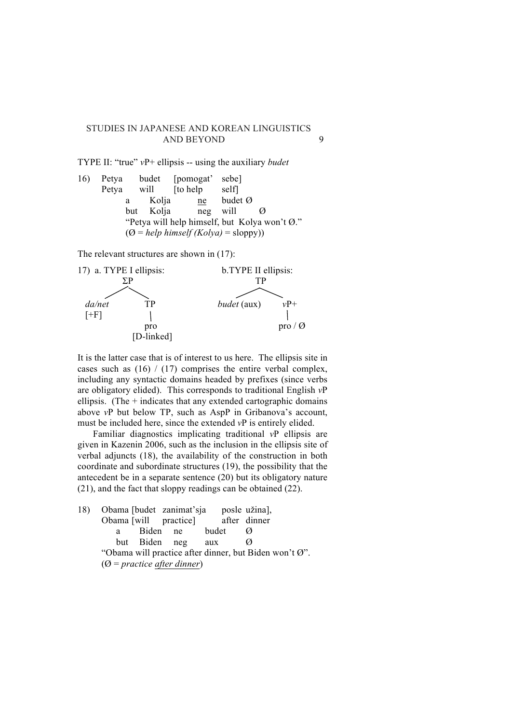TYPE II: "true" *v*P+ ellipsis -- using the auxiliary *budet*

16) Petya budet [pomogat' sebe] Petya will [to help self] a Kolia ne budet Ø but Kolja neg will Ø "Petya will help himself, but Kolya won't Ø."  $(Q = help himself (Kolya) = sloppy))$ 

The relevant structures are shown in (17):



It is the latter case that is of interest to us here. The ellipsis site in cases such as  $(16) / (17)$  comprises the entire verbal complex, including any syntactic domains headed by prefixes (since verbs are obligatory elided). This corresponds to traditional English *v*P ellipsis. (The  $+$  indicates that any extended cartographic domains above *v*P but below TP, such as AspP in Gribanova's account, must be included here, since the extended *v*P is entirely elided.

Familiar diagnostics implicating traditional *v*P ellipsis are given in Kazenin 2006, such as the inclusion in the ellipsis site of verbal adjuncts (18), the availability of the construction in both coordinate and subordinate structures (19), the possibility that the antecedent be in a separate sentence (20) but its obligatory nature (21), and the fact that sloppy readings can be obtained (22).

18) Obama [budet zanimat'sja posle užina], Obama [will practice] after dinner a Biden ne budet Ø but Biden neg aux Ø "Obama will practice after dinner, but Biden won't Ø". (Ø = *practice after dinner*)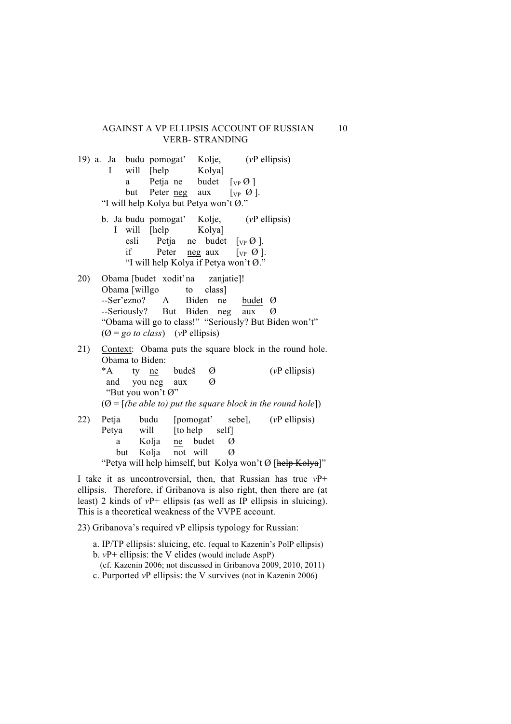#### AGAINST A VP ELLIPSIS ACCOUNT OF RUSSIAN 10 VERB- STRANDING

|     | 19) a. Ja budu pomogat' Kolje, (vP ellipsis) |                                        |                                         |   |   |                                                         |                                                               |  |
|-----|----------------------------------------------|----------------------------------------|-----------------------------------------|---|---|---------------------------------------------------------|---------------------------------------------------------------|--|
|     |                                              | I will [help Kolya]                    |                                         |   |   |                                                         |                                                               |  |
|     |                                              |                                        | a Petja ne budet $[\nabla_P \emptyset]$ |   |   |                                                         |                                                               |  |
|     |                                              |                                        | but Peter <u>neg</u> aux [ $VP$ Ø].     |   |   |                                                         |                                                               |  |
|     |                                              | "I will help Kolya but Petya won't Ø." |                                         |   |   |                                                         |                                                               |  |
|     |                                              |                                        |                                         |   |   | b. Ja budu pomogat' Kolje, (vP ellipsis)                |                                                               |  |
|     |                                              | I will [help Kolya]                    |                                         |   |   |                                                         |                                                               |  |
|     |                                              |                                        |                                         |   |   | esli Petja ne budet $[\nabla_{\mathbf{P}} \emptyset]$ . |                                                               |  |
|     |                                              |                                        |                                         |   |   | if Peter <u>neg</u> aux $[\n \vee_P \emptyset]$ .       |                                                               |  |
|     |                                              |                                        |                                         |   |   | "I will help Kolya if Petya won't Ø."                   |                                                               |  |
| 20) |                                              | Obama [budet xodit'na zanjatie]!       |                                         |   |   |                                                         |                                                               |  |
|     |                                              | Obama [willgo to class]                |                                         |   |   |                                                         |                                                               |  |
|     |                                              |                                        |                                         |   |   | --Ser'ezno? A Biden ne budet Ø                          |                                                               |  |
|     |                                              |                                        |                                         |   |   | --Seriously? But Biden neg aux                          | Ø                                                             |  |
|     |                                              |                                        |                                         |   |   |                                                         | "Obama will go to class!" "Seriously? But Biden won't"        |  |
|     |                                              | $(Q = go to class)$ (vP ellipsis)      |                                         |   |   |                                                         |                                                               |  |
|     |                                              |                                        |                                         |   |   |                                                         | 21) Context: Obama puts the square block in the round hole.   |  |
|     |                                              | Obama to Biden:                        |                                         |   |   |                                                         |                                                               |  |
|     |                                              | *A ty ne budeš                         |                                         | Ø |   |                                                         | $(vP$ ellipsis)                                               |  |
|     |                                              | and you neg aux                        |                                         | Ø |   |                                                         |                                                               |  |
|     |                                              | "But you won't Ø"                      |                                         |   |   |                                                         |                                                               |  |
|     |                                              |                                        |                                         |   |   |                                                         |                                                               |  |
|     |                                              |                                        |                                         |   |   |                                                         | $(0 = [(be able to) put the square block in the round hole])$ |  |
| 22) |                                              |                                        |                                         |   |   |                                                         | Petja budu [pomogat' sebe], (vP ellipsis)                     |  |
|     |                                              | Petya will [to help self]              |                                         |   |   |                                                         |                                                               |  |
|     | a                                            |                                        | Kolja ne budet                          |   | Ø |                                                         |                                                               |  |

but Kolja not will Ø

"Petya will help himself, but Kolya won't Ø [help Kolya]"

I take it as uncontroversial, then, that Russian has true *v*P+ ellipsis. Therefore, if Gribanova is also right, then there are (at least) 2 kinds of *v*P+ ellipsis (as well as IP ellipsis in sluicing). This is a theoretical weakness of the VVPE account.

23) Gribanova's required vP ellipsis typology for Russian:

- a. IP/TP ellipsis: sluicing, etc. (equal to Kazenin's PolP ellipsis)
- b. *v*P+ ellipsis: the V elides (would include AspP)
- (cf. Kazenin 2006; not discussed in Gribanova 2009, 2010, 2011)
- c. Purported *v*P ellipsis: the V survives (not in Kazenin 2006)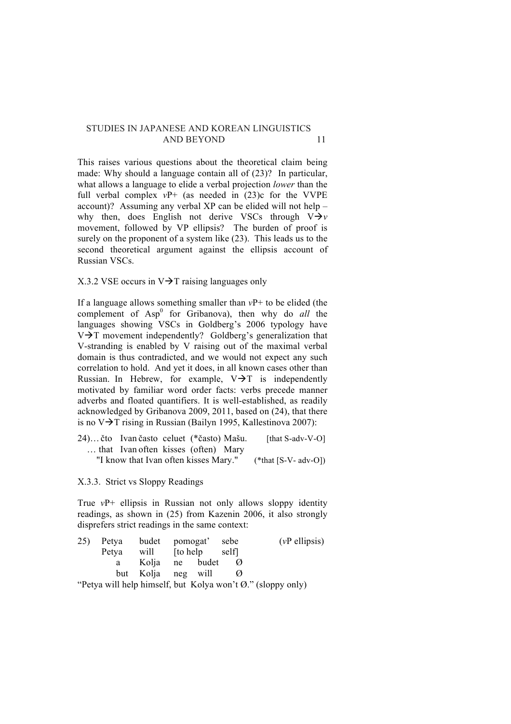This raises various questions about the theoretical claim being made: Why should a language contain all of (23)? In particular, what allows a language to elide a verbal projection *lower* than the full verbal complex  $vP+$  (as needed in  $(23)c$  for the VVPE account)? Assuming any verbal XP can be elided will not help – why then, does English not derive VSCs through  $V \rightarrow v$ movement, followed by VP ellipsis? The burden of proof is surely on the proponent of a system like (23). This leads us to the second theoretical argument against the ellipsis account of Russian VSCs.

# X.3.2 VSE occurs in  $V\rightarrow T$  raising languages only

If a language allows something smaller than *v*P+ to be elided (the complement of Asp<sup>0</sup> for Gribanova), then why do *all* the languages showing VSCs in Goldberg's 2006 typology have  $V\rightarrow T$  movement independently? Goldberg's generalization that V-stranding is enabled by V raising out of the maximal verbal domain is thus contradicted, and we would not expect any such correlation to hold. And yet it does, in all known cases other than Russian. In Hebrew, for example,  $V\rightarrow T$  is independently motivated by familiar word order facts: verbs precede manner adverbs and floated quantifiers. It is well-established, as readily acknowledged by Gribanova 2009, 2011, based on (24), that there is no  $V\rightarrow T$  rising in Russian (Bailyn 1995, Kallestinova 2007):

| 24) čto Ivan často celuet (*často) Mašu. |  | [that S-adv-V-O]     |
|------------------------------------------|--|----------------------|
| that Ivan often kisses (often) Mary      |  |                      |
| "I know that Ivan often kisses Mary."    |  | (*that [S-V- adv-O]) |

X.3.3. Strict vs Sloppy Readings

True *v*P+ ellipsis in Russian not only allows sloppy identity readings, as shown in (25) from Kazenin 2006, it also strongly disprefers strict readings in the same context:

| 25) Petya budet pomogat' sebe |                    |  | $(vP$ ellipsis)                                                      |
|-------------------------------|--------------------|--|----------------------------------------------------------------------|
| Petya will [to help self]     |                    |  |                                                                      |
|                               | a Kolja ne budet   |  |                                                                      |
|                               | but Kolja neg will |  |                                                                      |
|                               |                    |  | "Dotro will halp himself but $V_0$ ke wordt $\alpha$ " (alanny anty) |

'Petya will help himself, but Kolya won't Ø." (sloppy only)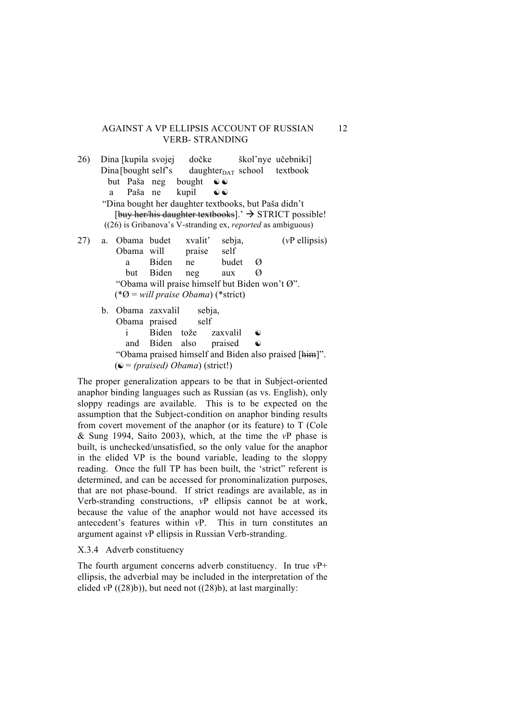#### AGAINST A VP ELLIPSIS ACCOUNT OF RUSSIAN 12 VERB- STRANDING

26) Dina [kupila svojej dočke škol'nye učebniki]  $Dina [bought self's daughter<sub>DATA</sub> school textbook]$ but Paša neg bought  $\odot$ a Paša ne kupil  $\odot$ "Dina bought her daughter textbooks, but Paša didn't [buy her/his daughter textbooks].'  $\rightarrow$  STRICT possible! ((26) is Gribanova's V-stranding ex, *reported* as ambiguous) 27) a. Obama budet xvalit' sebja, (*v*P ellipsis)

Obama will praise self a Biden ne budet Ø but Biden neg aux Ø "Obama will praise himself but Biden won't Ø". (\*Ø = *will praise Obama*) (\*strict) b. Obama zaxvalil sebja,

Obama praised self i Biden tože zaxvalil ☯ and Biden also praised  $\odot$ "Obama praised himself and Biden also praised [him]". (☯ = *(praised) Obama*) (strict!)

The proper generalization appears to be that in Subject-oriented anaphor binding languages such as Russian (as vs. English), only sloppy readings are available. This is to be expected on the assumption that the Subject-condition on anaphor binding results from covert movement of the anaphor (or its feature) to T (Cole & Sung 1994, Saito 2003), which, at the time the *v*P phase is built, is unchecked/unsatisfied, so the only value for the anaphor in the elided VP is the bound variable, leading to the sloppy reading. Once the full TP has been built, the 'strict" referent is determined, and can be accessed for pronominalization purposes, that are not phase-bound. If strict readings are available, as in Verb-stranding constructions, *v*P ellipsis cannot be at work, because the value of the anaphor would not have accessed its antecedent's features within *v*P. This in turn constitutes an argument against *v*P ellipsis in Russian Verb-stranding.

#### X.3.4 Adverb constituency

The fourth argument concerns adverb constituency. In true *v*P+ ellipsis, the adverbial may be included in the interpretation of the elided  $vP((28)b)$ , but need not  $((28)b)$ , at last marginally: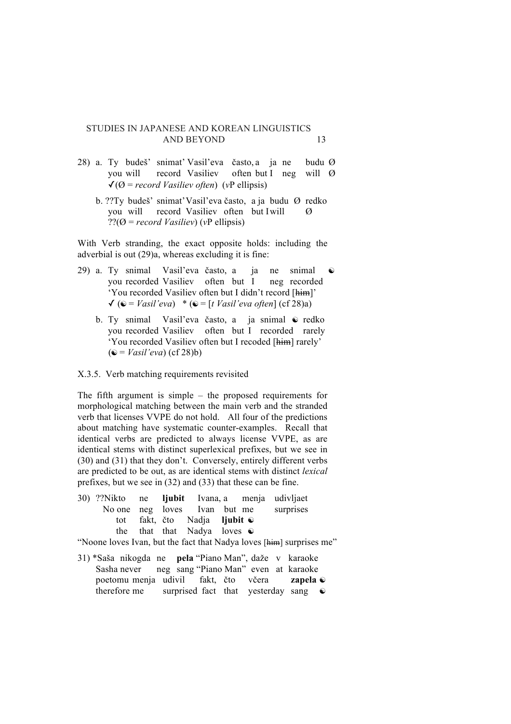- 28) a. Ty budeš' snimat' Vasil'eva často, a ja ne budu Ø you will record Vasiliev often but I neg will Ø  $\sqrt{Q}$  = *record Vasiliev often*) (*vP* ellipsis)
	- b. ??Ty budeš' snimat'Vasil'eva často, a ja budu Ø redko you will record Vasiliev often but Iwill Ø ??(Ø = *record Vasiliev*) (*v*P ellipsis)

With Verb stranding, the exact opposite holds: including the adverbial is out (29)a, whereas excluding it is fine:

- 29) a. Ty snimal Vasil'eva často, a ja ne snimal you recorded Vasiliev often but I neg recorded 'You recorded Vasiliev often but I didn't record [him]'  $\checkmark$  ( $\hat{\mathbf{e}}$  = *Vasil'eva*) \* ( $\hat{\mathbf{e}}$  = [*t Vasil'eva often*] (cf 28)a)
	- b. Ty snimal Vasil'eva často, a ja snimal ☯ redko you recorded Vasiliev often but I recorded rarely 'You recorded Vasiliev often but I recoded [him] rarely' (☯ = *Vasil'eva*) (cf 28)b)

#### X.3.5. Verb matching requirements revisited

The fifth argument is simple – the proposed requirements for morphological matching between the main verb and the stranded verb that licenses VVPE do not hold. All four of the predictions about matching have systematic counter-examples. Recall that identical verbs are predicted to always license VVPE, as are identical stems with distinct superlexical prefixes, but we see in (30) and (31) that they don't. Conversely, entirely different verbs are predicted to be out, as are identical stems with distinct *lexical* prefixes, but we see in (32) and (33) that these can be fine.

30) ??Nikto ne **ljubit** Ivana, a menja udivljaet No one neg loves Ivan but me surprises tot fakt, čto Nadja **ljubit** ☯ the that that Nadya loves  $\odot$ 

"Noone loves Ivan, but the fact that Nadya loves [him] surprises me"

31) \*Saša nikogda ne **pela** "Piano Man", daže v karaoke Sasha never neg sang "Piano Man" even at karaoke poetomu menja udivil fakt, čto včera **zapela** ☯ therefore me surprised fact that yesterday sang  $\bullet$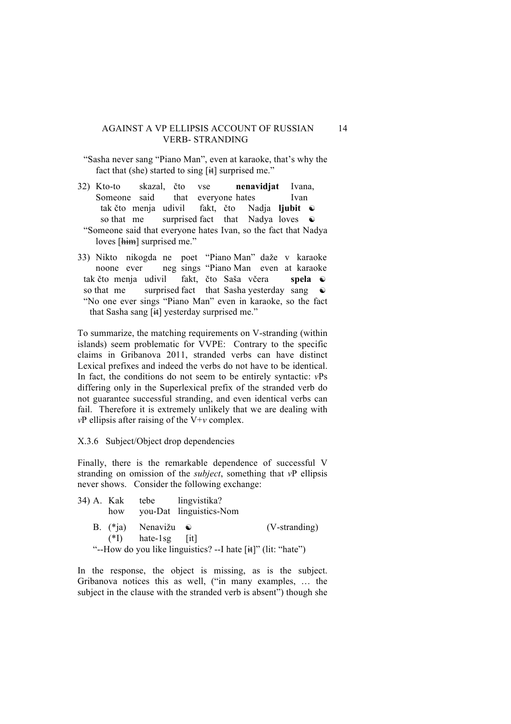# AGAINST A VP ELLIPSIS ACCOUNT OF RUSSIAN 14 VERB- STRANDING

- "Sasha never sang "Piano Man", even at karaoke, that's why the fact that (she) started to sing  $[\frac{1}{11}]$  surprised me."
- 32) Kto-to skazal, čto vse **nenavidjat** Ivana, Someone said that everyone hates Ivan tak čto menja udivil fakt, čto Nadja **ljubit** ☯ so that me surprised fact that Nadya loves  $\odot$ "Someone said that everyone hates Ivan, so the fact that Nadya loves [him] surprised me."
- 33) Nikto nikogda ne poet "Piano Man" daže v karaoke noone ever neg sings "Piano Man even at karaoke tak čto menja udivil fakt, čto Saša včera **spela** ☯ so that me surprised fact that Sasha yesterday sang  $\odot$ "No one ever sings "Piano Man" even in karaoke, so the fact that Sasha sang [it] yesterday surprised me."

To summarize, the matching requirements on V-stranding (within islands) seem problematic for VVPE: Contrary to the specific claims in Gribanova 2011, stranded verbs can have distinct Lexical prefixes and indeed the verbs do not have to be identical. In fact, the conditions do not seem to be entirely syntactic: *v*Ps differing only in the Superlexical prefix of the stranded verb do not guarantee successful stranding, and even identical verbs can fail. Therefore it is extremely unlikely that we are dealing with *v*P ellipsis after raising of the V+*v* complex.

#### X.3.6 Subject/Object drop dependencies

Finally, there is the remarkable dependence of successful V stranding on omission of the *subject*, something that *v*P ellipsis never shows. Consider the following exchange:

|  |                              | 34) A. Kak tebe lingvistika?                                 |               |
|--|------------------------------|--------------------------------------------------------------|---------------|
|  |                              | how you-Dat linguistics-Nom                                  |               |
|  | B. $(*i)$ Nenavižu $\bullet$ |                                                              | (V-stranding) |
|  | $(*I)$ hate-1sg [it]         |                                                              |               |
|  |                              | "--How do you like linguistics? --I hate [it]" (lit: "hate") |               |

In the response, the object is missing, as is the subject. Gribanova notices this as well, ("in many examples, … the subject in the clause with the stranded verb is absent") though she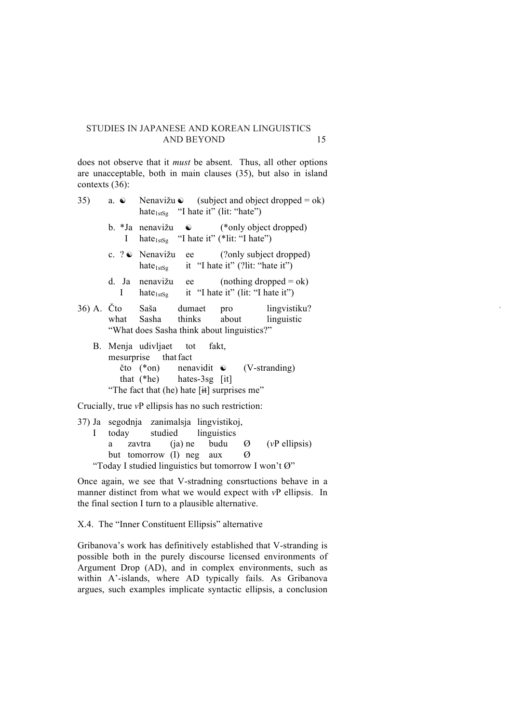does not observe that it *must* be absent. Thus , all other options are unacceptable, both in main clauses (35), but also in island contexts (36) :

- 35) a. ☯ Nenavi ž u  $subject$  and object dropped = ok) hate $_{1stSg}$  "I hate it" (lit: "hate")
	- b. \*Ja nenavi ž u ☯ (\*only object dropped) I hate<sub>1stSg</sub> "I hate it" (\*lit: "I hate")
	- c. ? ☯ Nenavi (?only subject dropped) hate<sub>1stSg</sub> it "I hate it" (?lit: "hate it")
	- d. Ja nenavi ž ee  $(nothing = ok)$ I hate $_{1stSg}$  it "I hate it" (lit: "I hate it")
- 36) A. Čto Sa Saša dumaet pro lingvistiku? what Sasha thinks about linguistic "What does Sasha think about linguistics?"
	- B. Menja udivljaet tot fakt, mesurprise that fact čto (\*on) nenavidit  $\odot$ (V-stranding) that  $(*he)$ hates- $3sg$  [it] "The fact that (he) hate  $[\text{H}]$  surprises me"

Crucially, true *v*P ellipsis has no such restriction :

37) Ja segodnja zanimalsja lingvistikoj, I today studied linguistics a zavtra (ja) ne budu  $\varnothing$ ( *v*P ellipsis) but tomorrow (I) neg aux  $\varnothing$ "Today I studied linguistics but tomorrow I won't  $\varnothing$ "

Once again, we see that V -stradning consrtuctions behave in a manner distinct from what we would expect with *v*P ellipsis. In the final section I turn to a plausible alternative.

X.4. The "Inner Constituent Ellipsis" alternative

Gribanova's work has definitively established that V -stranding is possible both in the purely discourse licensed envir onments of Argument Drop (AD), and in complex environments, such as within A' -islands, where AD typically fails. As Gribanova argues, such examples implicate syntactic ellipsis, a conclusion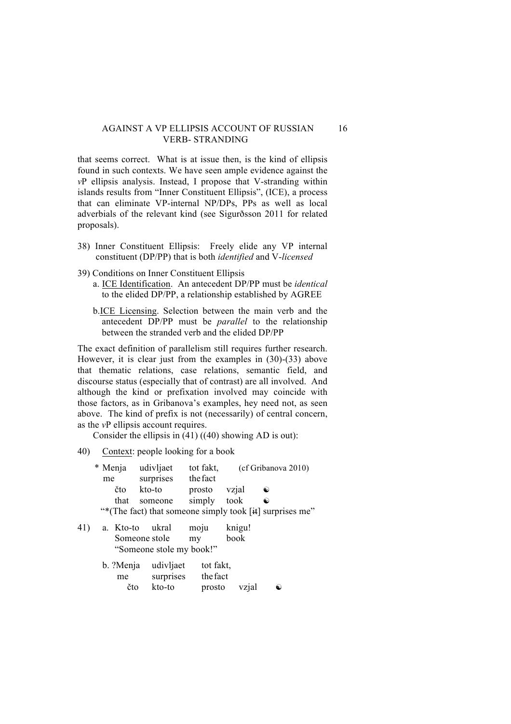#### AGAINST A VP ELLIPSIS ACCOUNT OF RUSSIAN 16 VERB- STRANDING

that seems correct. What is at issue then, is the kind of ellipsis found in such contexts. We have seen ample evidence against the *v*P ellipsis analysis. Instead, I propose that V-stranding within islands results from "Inner Constituent Ellipsis", (ICE), a process that can eliminate VP-internal NP/DPs, PPs as well as local adverbials of the relevant kind (see Sigurðsson 2011 for related proposals).

- 38) Inner Constituent Ellipsis: Freely elide any VP internal constituent (DP/PP) that is both *identified* and V-*licensed*
- 39) Conditions on Inner Constituent Ellipsis
	- a. ICE Identification. An antecedent DP/PP must be *identical* to the elided DP/PP, a relationship established by AGREE
	- b.ICE Licensing. Selection between the main verb and the antecedent DP/PP must be *parallel* to the relationship between the stranded verb and the elided DP/PP

The exact definition of parallelism still requires further research. However, it is clear just from the examples in (30)-(33) above that thematic relations, case relations, semantic field, and discourse status (especially that of contrast) are all involved. And although the kind or prefixation involved may coincide with those factors, as in Gribanova's examples, hey need not, as seen above. The kind of prefix is not (necessarily) of central concern, as the *v*P ellipsis account requires.

Consider the ellipsis in  $(41)$   $((40)$  showing AD is out):

40) Context: people looking for a book

| * Menja                                                  | udivljaet | tot fakt. |       | (cf Gribanova 2010) |  |  |
|----------------------------------------------------------|-----------|-----------|-------|---------------------|--|--|
| me                                                       | surprises | the fact  |       |                     |  |  |
| čto                                                      | kto-to    | prosto    | vzial | $\ddot{\bullet}$    |  |  |
| that                                                     | someone   | simply    | took  | $\ddot{\bullet}$    |  |  |
| "*(The fact) that someone simply took [it] surprises me" |           |           |       |                     |  |  |

| 41) | a. Kto-to     | ukral                    | moju             | knigu! |
|-----|---------------|--------------------------|------------------|--------|
|     | Someone stole |                          | $m$ <sub>V</sub> | book   |
|     |               | "Someone stole my book!" |                  |        |

| b. ?Menja udivljaet |           | tot fakt.    |           |
|---------------------|-----------|--------------|-----------|
| me                  | surprises | the fact     |           |
| čto                 | kto-to    | prosto vzial | $\bullet$ |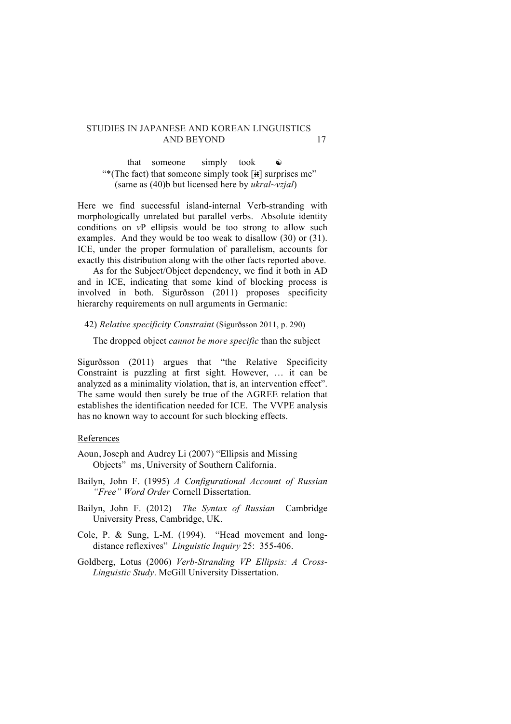that someone simply took  $\bullet$ "\*(The fact) that someone simply took  $[\text{#}]$  surprises me" (same as (40)b but licensed here by *ukral~vzjal*)

Here we find successful island-internal Verb-stranding with morphologically unrelated but parallel verbs. Absolute identity conditions on *v*P ellipsis would be too strong to allow such examples. And they would be too weak to disallow (30) or (31). ICE, under the proper formulation of parallelism, accounts for exactly this distribution along with the other facts reported above.

As for the Subject/Object dependency, we find it both in AD and in ICE, indicating that some kind of blocking process is involved in both. Sigurðsson (2011) proposes specificity hierarchy requirements on null arguments in Germanic:

#### 42) *Relative specificity Constraint* (Sigurðsson 2011, p. 290)

The dropped object *cannot be more specific* than the subject

Sigurðsson (2011) argues that "the Relative Specificity Constraint is puzzling at first sight. However, … it can be analyzed as a minimality violation, that is, an intervention effect". The same would then surely be true of the AGREE relation that establishes the identification needed for ICE. The VVPE analysis has no known way to account for such blocking effects.

#### References

- Aoun, Joseph and Audrey Li (2007) "Ellipsis and Missing Objects" ms, University of Southern California.
- Bailyn, John F. (1995) *A Configurational Account of Russian "Free" Word Order* Cornell Dissertation.
- Bailyn, John F. (2012) *The Syntax of Russian* Cambridge University Press, Cambridge, UK.
- Cole, P. & Sung, L-M. (1994). "Head movement and longdistance reflexives" *Linguistic Inquiry* 25: 355-406.
- Goldberg, Lotus (2006) *Verb-Stranding VP Ellipsis: A Cross-Linguistic Study*. McGill University Dissertation.